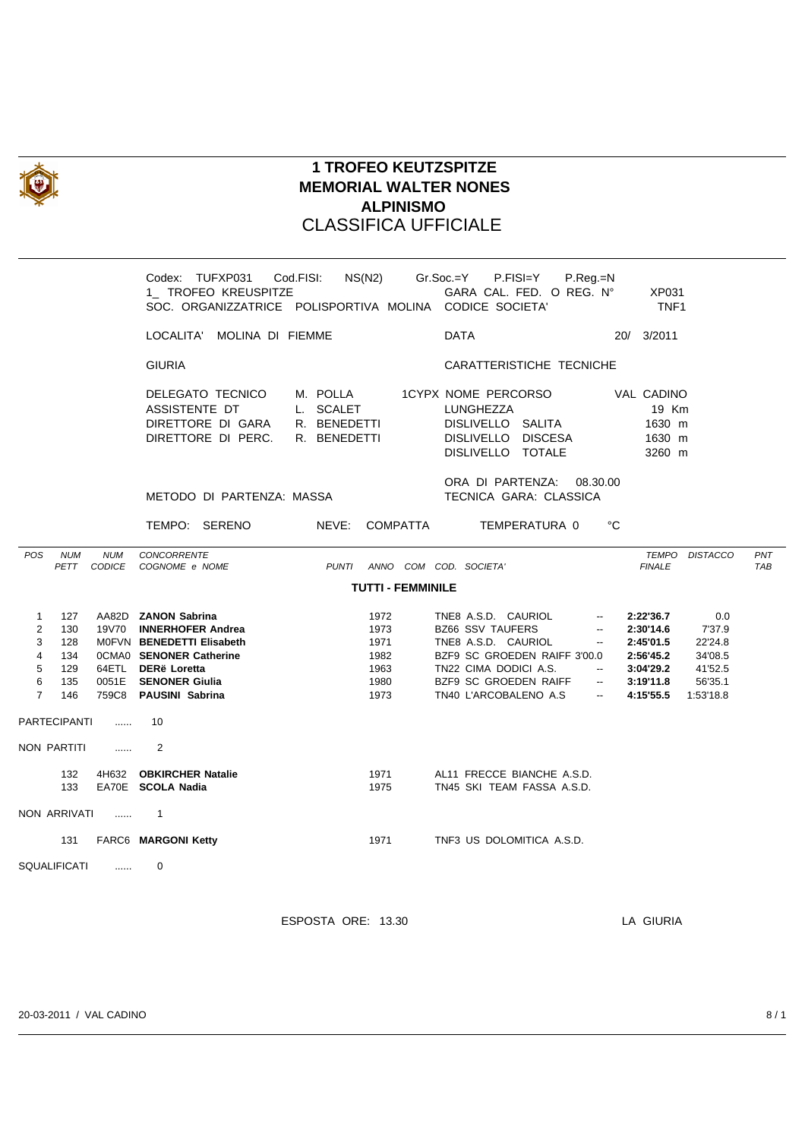

## **1 TROFEO KEUTZSPITZE MEMORIAL WALTER NONES ALPINISMO** CLASSIFICA UFFICIALE

Codex: TUFXP031 Cod.FISI: NS(N2) Gr.Soc.=Y P.FISI=Y P.Reg.=N 1 TROFEO KREUSPITZE GARA CAL. FED. O REG. N° XP031 SOC. ORGANIZZATRICE POLISPORTIVA MOLINA CODICE SOCIETA' TNF1 LOCALITA' MOLINA DI FIEMME DATA 20/ 3/2011 GIURIA CARATTERISTICHE TECNICHE DELEGATO TECNICO M. POLLA 1CYPX NOME PERCORSO VAL CADINO ASSISTENTE DT L. SCALET LUNGHEZZA 19 Km DIRETTORE DI GARA R. BENEDETTI DISLIVELLO SALITA 1630 m DIRETTORE DI PERC. R. BENEDETTI DISLIVELLO DISCESA 1630 m DISLIVELLO TOTALE 3260 m ORA DI PARTENZA: 08.30.00 METODO DI PARTENZA: MASSA TECNICA GARA: CLASSICA TEMPO: SERENO NEVE: COMPATTA TEMPERATURA 0 °C *POS NUM NUM CONCORRENTE TEMPO DISTACCO PNT* **PUNTI ANNO COM COD. SOCIETA'** FINALE FINALE TAB **TUTTI - FEMMINILE** 1 127 AA82D **ZANON Sabrina** 1972 TNE8 A.S.D. CAURIOL -- **2:22'36.7** 0.0 2 130 19V70 **INNERHOFER Andrea** 1973 BZ66 SSV TAUFERS -- **2:30'14.6** 7'37.9 3 128 M0FVN **BENEDETTI Elisabeth** 4 134 0CMA0 **SENONER Catherine** 1982 BZF9 SC GROEDEN RAIFF 3'00.0 **2:56'45.2** 34'08.5 5 129 64ETL **DERë Loretta** 1963 TN22 CIMA DODICI A.S. -- **3:04'29.2** 41'52.5 6 135 0051E **SENONER Giulia** 1980 BZF9 SC GROEDEN RAIFF -- **3:19'11.8** 56'35.1 7 146 759C8 **PAUSINI Sabrina** 1973 TN40 L'ARCOBALENO A.S -- **4:15'55.5** 1:53'18.8 PARTECIPANTI ...... 10 NON PARTITI ....... 2 132 4H632 **OBKIRCHER Natalie** 1971 AL11 FRECCE BIANCHE A.S.D. 1975 TN45 SKI TEAM FASSA A.S.D. NON ARRIVATI ...... 1 131 FARC6 **MARGONI Ketty** 1971 TNF3 US DOLOMITICA A.S.D. SQUALIFICATI ...... 0

ESPOSTA ORE: 13.30 LA GIURIA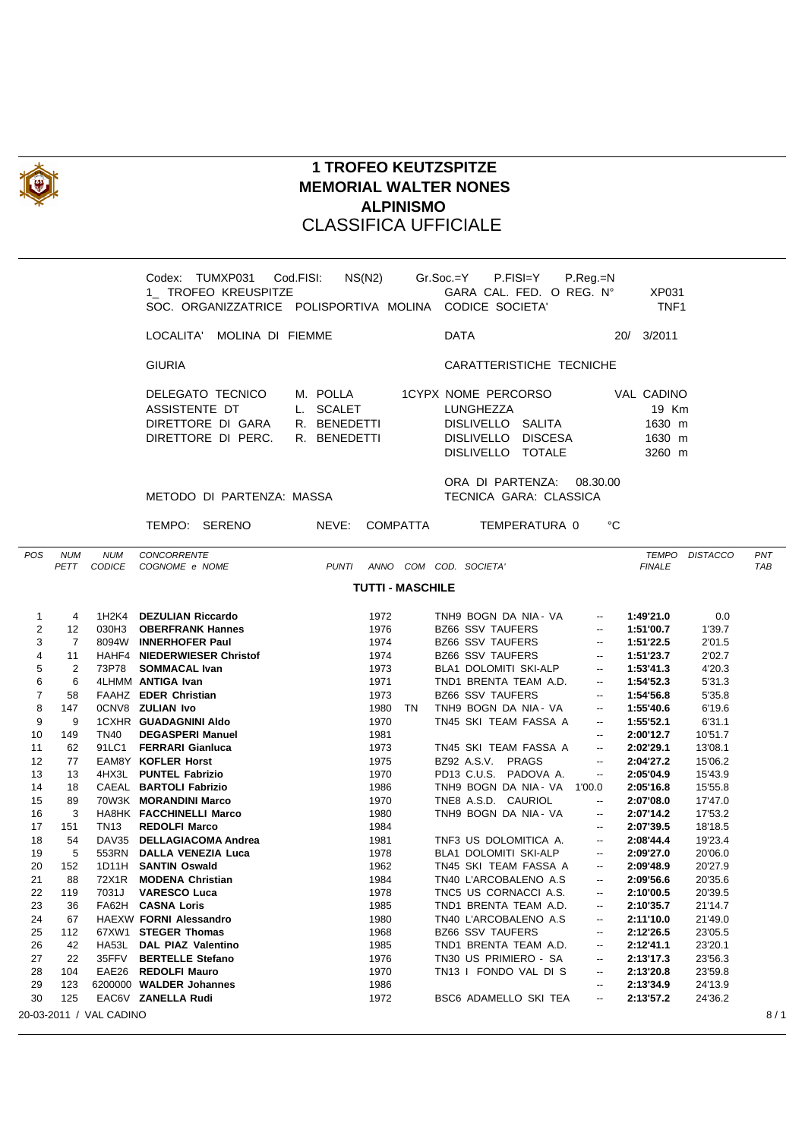

## **1 TROFEO KEUTZSPITZE MEMORIAL WALTER NONES ALPINISMO** CLASSIFICA UFFICIALE

Codex: TUMXP031 Cod.FISI: NS(N2) Gr.Soc.=Y P.FISI=Y P.Reg.=N 1 TROFEO KREUSPITZE GARA CAL. FED. O REG. N° XP031 SOC. ORGANIZZATRICE POLISPORTIVA MOLINA CODICE SOCIETA' TNF1 LOCALITA' MOLINA DI FIEMME DATA 20/ 3/2011 GIURIA CARATTERISTICHE TECNICHE DELEGATO TECNICO M. POLLA 1CYPX NOME PERCORSO VAL CADINO ASSISTENTE DT L. SCALET LUNGHEZZA 19 Km DIRETTORE DI GARA R. BENEDETTI DISLIVELLO SALITA 1630 m DIRETTORE DI PERC. R. BENEDETTI DISLIVELLO DISCESA 1630 m DISLIVELLO TOTALE 3260 m ORA DI PARTENZA: 08.30.00 METODO DI PARTENZA: MASSA TECNICA GARA: CLASSICA TEMPO: SERENO NEVE: COMPATTA TEMPERATURA 0 °C *POS NUM NUM CONCORRENTE TEMPO DISTACCO PNT PETT CODICE COGNOME e NOME PUNTI ANNO COM COD. SOCIETA' FINALE TAB* **TUTTI - MASCHILE** 1 4 1H2K4 **DEZULIAN Riccardo** 1972 TNH9 BOGN DA NIA - VA -- **1:49'21.0** 0.0 2 12 030H3 **OBERFRANK Hannes** 1976 BZ66 SSV TAUFERS -- **1:51'00.7** 1'39.7 3 7 8094W **INNERHOFER Paul** 1974 BZ66 SSV TAUFERS -- **1:51'22.5** 2'01.5 4 11 HAHF4 **NIEDERWIESER Christof** 1974 BZ66 SSV TAUFERS -- **1:51'23.7** 2'02.7 5 2 73P78 **SOMMACAL Ivan** 1973 BLA1 DOLOMITI SKI-ALP -- **1:53'41.3** 4'20.3 6 6 4LHMM **ANTIGA Ivan** 1971 TND1 BRENTA TEAM A.D. -- **1:54'52.3** 5'31.3 7 58 FAAHZ **EDER Christian** 1973 BZ66 SSV TAUFERS -- **1:54'56.8** 5'35.8 8 147 0CNV8 **ZULIAN Ivo** 1980 TN TNH9 BOGN DA NIA - VA -- **1:55'40.6** 6'19.6 9 9 1CXHR **GUADAGNINI Aldo** 1970 TN45 SKI TEAM FASSA A -- **1:55'52.1** 6'31.1 10 149 TN40 **DEGASPERI Manuel** 1981 -- **2:00'12.7** 10'51.7 11 62 91LC1 **FERRARI Gianluca** 1973 TN45 SKI TEAM FASSA A -- **2:02'29.1** 13'08.1 12 77 EAM8Y **KOFLER Horst** 1975 BZ92 A.S.V. PRAGS -- **2:04'27.2** 15'06.2 13 13 4HX3L **PUNTEL Fabrizio** 1970 PD13 C.U.S. PADOVA A. -- **2:05'04.9** 15'43.9 14 18 CAEAL **BARTOLI Fabrizio** 1986 TNH9 BOGN DA NIA - VA 1'00.0 **2:05'16.8** 15'55.8 15 89 70W3K **MORANDINI Marco** 1970 TNE8 A.S.D. CAURIOL -- **2:07'08.0** 17'47.0 16 3 HA8HK **FACCHINELLI Marco** 1980 TNH9 BOGN DA NIA - VA -- **2:07'14.2** 17'53.2 17 151 TN13 **REDOLFI Marco** 1984 -- **2:07'39.5** 18'18.5 18 54 DAV35 **DELLAGIACOMA Andrea** 1981 TNF3 US DOLOMITICA A. -- **2:08'44.4** 19'23.4 19 5 553RN **DALLA VENEZIA Luca** 1978 BLA1 DOLOMITI SKI-ALP -- **2:09'27.0** 20'06.0 20 152 1D11H **SANTIN Oswald** 1962 TN45 SKI TEAM FASSA A -- **2:09'48.9** 20'27.9 21 88 72X1R **MODENA Christian** 1984 TN40 L'ARCOBALENO A.S -- **2:09'56.6** 20'35.6 22 119 7031J **VARESCO Luca** 1978 TNC5 US CORNACCI A.S. -- **2:10'00.5** 20'39.5 23 36 FA62H **CASNA Loris** 1985 TND1 BRENTA TEAM A.D. -- **2:10'35.7** 21'14.7 24 67 HAEXW **FORNI Alessandro** 1980 TN40 L'ARCOBALENO A.S -- **2:11'10.0** 21'49.0 25 112 67XW1 **STEGER Thomas** 1968 BZ66 SSV TAUFERS -- **2:12'26.5** 23'05.5 26 42 HA53L **DAL PIAZ Valentino** 1985 TND1 BRENTA TEAM A.D. -- **2:12'41.1** 23'20.1 27 22 35FFV **BERTELLE Stefano** 1976 TN30 US PRIMIERO - SA -- **2:13'17.3** 23'56.3 28 104 EAE26 **REDOLFI Mauro** 1970 TN13 I FONDO VAL DI S -- **2:13'20.8** 23'59.8 29 123 6200000 **WALDER Johannes** 1986 -- **2:13'34.9** 24'13.9 30 125 EAC6V **ZANELLA Rudi** 1972 BSC6 ADAMELLO SKI TEA -- **2:13'57.2** 24'36.2 20-03-2011 / VAL CADINO 8/1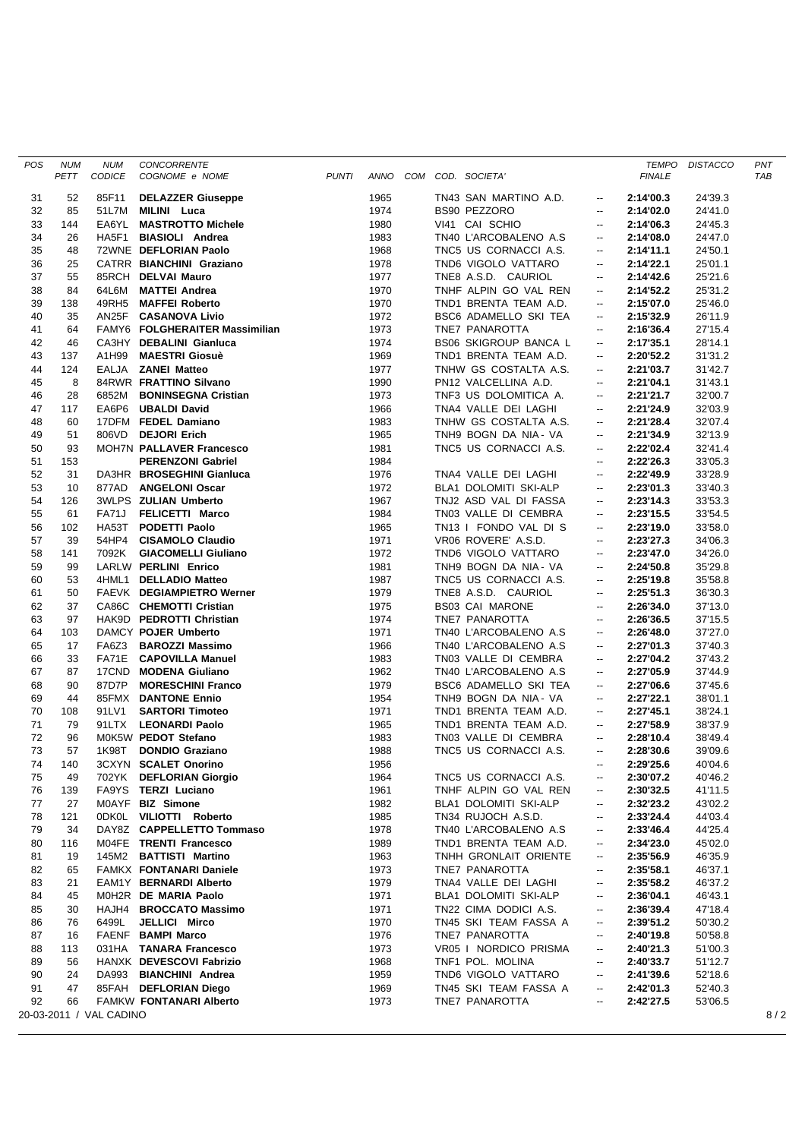| <b>POS</b> | <b>NUM</b>  | <b>NUM</b>              | CONCORRENTE                                    |              |  |                                         |                                    |                        | TEMPO DISTACCO     | PNT |
|------------|-------------|-------------------------|------------------------------------------------|--------------|--|-----------------------------------------|------------------------------------|------------------------|--------------------|-----|
|            | <b>PETT</b> | CODICE                  | <b>PUNTI</b><br>COGNOME e NOME                 |              |  | ANNO COM COD. SOCIETA'                  |                                    | <b>FINALE</b>          |                    | TAB |
|            |             |                         |                                                |              |  |                                         |                                    | 2:14'00.3              |                    |     |
| 31<br>32   | 52          | 85F11                   | <b>DELAZZER Giuseppe</b>                       | 1965         |  | TN43 SAN MARTINO A.D.<br>BS90 PEZZORO   | $\sim$<br>$\overline{\phantom{a}}$ |                        | 24'39.3            |     |
| 33         | 85<br>144   |                         | 51L7M MILINI Luca<br>EA6YL MASTROTTO Michele   | 1974<br>1980 |  | VI41 CAI SCHIO                          | $\overline{\phantom{a}}$           | 2:14'02.0<br>2:14'06.3 | 24'41.0<br>24'45.3 |     |
| 34         | 26          |                         | HA5F1 BIASIOLI Andrea                          | 1983         |  | TN40 L'ARCOBALENO A.S                   | $\sim$                             | 2:14'08.0              | 24'47.0            |     |
| 35         | 48          |                         | 72WNE DEFLORIAN Paolo                          | 1968         |  | TNC5 US CORNACCI A.S.                   | ۰.                                 | 2:14'11.1              | 24'50.1            |     |
| 36         | 25          |                         |                                                | 1978         |  | TND6 VIGOLO VATTARO                     | $\overline{\phantom{a}}$           | 2:14'22.1              | 25'01.1            |     |
| 37         | 55          |                         | CATRR BIANCHINI Graziano<br>85RCH DELVAI Mauro | 1977         |  | TNE8 A.S.D. CAURIOL                     | ۰.                                 | 2:14'42.6              | 25'21.6            |     |
| 38         | 84          |                         | 64L6M MATTEI Andrea                            | 1970         |  | TNHF ALPIN GO VAL REN                   | $\sim$                             | 2:14'52.2              | 25'31.2            |     |
| 39         | 138         |                         | 49RH5 MAFFEI Roberto                           | 1970         |  | TND1 BRENTA TEAM A.D.                   | $\sim$                             | 2:15'07.0              | 25'46.0            |     |
| 40         | 35          |                         | AN25F CASANOVA Livio                           | 1972         |  | BSC6 ADAMELLO SKI TEA                   | $\overline{\phantom{a}}$           | 2:15'32.9              | 26'11.9            |     |
| 41         | 64          |                         | FAMY6 FOLGHERAITER Massimilian                 | 1973         |  | TNE7 PANAROTTA                          | $\overline{\phantom{a}}$           | 2:16'36.4              | 27'15.4            |     |
| 42         | 46          |                         | CA3HY DEBALINI Gianluca                        | 1974         |  | BS06 SKIGROUP BANCA L                   | $\sim$                             | 2:17'35.1              | 28'14.1            |     |
| 43         | 137         |                         | A1H99 MAESTRI Giosuè                           | 1969         |  | TND1 BRENTA TEAM A.D.                   | $\sim$                             | 2:20'52.2              | 31'31.2            |     |
| 44         | 124         |                         | EALJA ZANEI Matteo                             | 1977         |  | TNHW GS COSTALTA A.S.                   | $\overline{\phantom{a}}$           | 2:21'03.7              | 31'42.7            |     |
| 45         | 8           |                         | 84RWR FRATTINO Silvano                         | 1990         |  | PN12 VALCELLINA A.D.                    | ۰.                                 | 2:21'04.1              | 31'43.1            |     |
| 46         | 28          |                         | 6852M BONINSEGNA Cristian                      | 1973         |  | TNF3 US DOLOMITICA A.                   | $\overline{\phantom{a}}$           | 2:21'21.7              | 32'00.7            |     |
| 47         | 117         |                         | EA6P6 UBALDI David                             | 1966         |  | TNA4 VALLE DEI LAGHI                    | $\sim$                             | 2:21'24.9              | 32'03.9            |     |
| 48         | 60          |                         | 17DFM FEDEL Damiano                            | 1983         |  | TNHW GS COSTALTA A.S.                   | $\overline{\phantom{a}}$           | 2:21'28.4              | 32'07.4            |     |
| 49         | 51          |                         | 806VD DEJORI Erich                             | 1965         |  | TNH9 BOGN DA NIA - VA                   | $\overline{\phantom{a}}$           | 2:21'34.9              | 32'13.9            |     |
| 50         | 93          |                         | MOH7N PALLAVER Francesco                       | 1981         |  | TNC5 US CORNACCI A.S.                   | $\overline{\phantom{a}}$           | 2:22'02.4              | 32'41.4            |     |
| 51         | 153         |                         | <b>PERENZONI Gabriel</b>                       | 1984         |  |                                         | ۰.                                 | 2:22'26.3              | 33'05.3            |     |
| 52         | 31          |                         | DA3HR BROSEGHINI Gianluca                      | 1976         |  | TNA4 VALLE DEI LAGHI                    | --                                 | 2:22'49.9              | 33'28.9            |     |
| 53         | 10          |                         | 877AD ANGELONI Oscar                           | 1972         |  | BLA1 DOLOMITI SKI-ALP                   | --                                 | 2:23'01.3              | 33'40.3            |     |
| 54         | 126         |                         | 3WLPS ZULIAN Umberto                           | 1967         |  | TNJ2 ASD VAL DI FASSA                   | −−                                 | 2:23'14.3              | 33'53.3            |     |
| 55         | 61          |                         | FA71J FELICETTI Marco                          | 1984         |  | TN03 VALLE DI CEMBRA                    | $\overline{\phantom{a}}$           | 2:23'15.5              | 33'54.5            |     |
| 56         | 102         |                         | HA53T PODETTI Paolo                            | 1965         |  | TN13 I FONDO VAL DI S                   | $\overline{\phantom{a}}$           | 2:23'19.0              | 33'58.0            |     |
| 57         | 39          |                         | 54HP4 CISAMOLO Claudio                         | 1971         |  | VR06 ROVERE' A.S.D.                     | $\sim$                             | 2:23'27.3              | 34'06.3            |     |
| 58         | 141         |                         | 7092K GIACOMELLI Giuliano                      | 1972         |  | TND6 VIGOLO VATTARO                     | $\overline{\phantom{a}}$           | 2:23'47.0              | 34'26.0            |     |
| 59         | 99          |                         | LARLW PERLINI Enrico                           | 1981         |  | TNH9 BOGN DA NIA - VA                   | $\sim$                             | 2:24'50.8              | 35'29.8            |     |
| 60         | 53          |                         | 4HML1 DELLADIO Matteo                          | 1987         |  | TNC5 US CORNACCI A.S.                   | ⊷                                  | 2:25'19.8              | 35'58.8            |     |
| 61         | 50          |                         | FAEVK DEGIAMPIETRO Werner                      | 1979         |  | TNE8 A.S.D. CAURIOL                     | ۰.                                 | 2:25'51.3              | 36'30.3            |     |
| 62         | 37          |                         | CA86C CHEMOTTI Cristian                        | 1975         |  | <b>BS03 CAI MARONE</b>                  | $\overline{\phantom{a}}$           | 2:26'34.0              | 37'13.0            |     |
| 63         | 97          |                         | HAK9D PEDROTTI Christian                       | 1974         |  | TNE7 PANAROTTA                          | $\overline{\phantom{a}}$           | 2:26'36.5              | 37'15.5            |     |
| 64         | 103         |                         | DAMCY POJER Umberto                            | 1971         |  | TN40 L'ARCOBALENO A.S                   | --                                 | 2:26'48.0              | 37'27.0            |     |
| 65         | 17          |                         | FA6Z3 BAROZZI Massimo                          | 1966         |  | TN40 L'ARCOBALENO A.S                   | --                                 | 2:27'01.3              | 37'40.3            |     |
| 66         | 33          |                         | FA71E CAPOVILLA Manuel                         | 1983         |  | TN03 VALLE DI CEMBRA                    | --                                 | 2:27'04.2              | 37'43.2            |     |
| 67         | 87          |                         | 17CND MODENA Giuliano                          | 1962         |  | TN40 L'ARCOBALENO A.S                   | $\overline{\phantom{a}}$           | 2:27'05.9              | 37'44.9            |     |
| 68         | 90          |                         | 87D7P MORESCHINI Franco                        | 1979         |  | BSC6 ADAMELLO SKI TEA                   | −−                                 | 2:27'06.6              | 37'45.6            |     |
| 69         | 44          |                         | 85FMX DANTONE Ennio                            | 1954         |  | TNH9 BOGN DA NIA - VA                   | $\overline{\phantom{a}}$           | 2:27'22.1              | 38'01.1            |     |
| 70         | 108         | 91LV1                   | <b>SARTORI Timoteo</b>                         | 1971         |  | TND1 BRENTA TEAM A.D.                   | ۰.                                 | 2:27'45.1              | 38'24.1            |     |
| 71         | 79          |                         | 91LTX LEONARDI Paolo                           | 1965         |  | TND1 BRENTA TEAM A.D.                   | $\sim$                             | 2:27'58.9              | 38'37.9            |     |
| 72         | 96          |                         | M0K5W PEDOT Stefano                            | 1983         |  | TN03 VALLE DI CEMBRA                    | $\overline{\phantom{a}}$           | 2:28'10.4              | 38'49.4            |     |
| 73         | 57          |                         | 1K98T DONDIO Graziano                          | 1988         |  | TNC5 US CORNACCI A.S.                   | --                                 | 2:28'30.6              | 39'09.6            |     |
| 74         | 140         |                         | 3CXYN SCALET Onorino                           | 1956         |  |                                         |                                    | 2:29'25.6              | 40'04.6            |     |
| 75         | 49          |                         | 702YK DEFLORIAN Giorgio                        | 1964         |  | TNC5 US CORNACCI A.S.                   | $\overline{\phantom{a}}$           | 2:30'07.2              | 40'46.2            |     |
| 76         | 139         |                         | FA9YS TERZI Luciano                            | 1961         |  | TNHF ALPIN GO VAL REN                   |                                    | 2:30'32.5              | 41'11.5            |     |
| 77         | 27          |                         | MOAYF BIZ Simone                               | 1982         |  | BLA1 DOLOMITI SKI-ALP                   | --                                 | 2:32'23.2              | 43'02.2            |     |
| 78         | 121         |                         | ODKOL VILIOTTI Roberto                         | 1985         |  | TN34 RUJOCH A.S.D.                      | --                                 | 2:33'24.4              | 44'03.4            |     |
| 79         | 34          |                         | DAY8Z CAPPELLETTO Tommaso                      | 1978         |  | TN40 L'ARCOBALENO A.S                   | --                                 | 2:33'46.4              | 44'25.4            |     |
| 80         | 116         |                         | M04FE TRENTI Francesco                         | 1989         |  | TND1 BRENTA TEAM A.D.                   | --                                 | 2:34'23.0              | 45'02.0            |     |
| 81         | 19          |                         | 145M2 BATTISTI Martino                         | 1963         |  | TNHH GRONLAIT ORIENTE                   | --                                 | 2:35'56.9              | 46'35.9            |     |
| 82         | 65          |                         | FAMKX FONTANARI Daniele                        | 1973         |  | TNE7 PANAROTTA                          | --                                 | 2:35'58.1              | 46'37.1            |     |
| 83         | 21          |                         | EAM1Y BERNARDI Alberto                         | 1979         |  | TNA4 VALLE DEI LAGHI                    | --                                 | 2:35'58.2              | 46'37.2            |     |
| 84         | 45          |                         | M0H2R DE MARIA Paolo                           | 1971         |  | BLA1 DOLOMITI SKI-ALP                   | --                                 | 2:36'04.1              | 46'43.1            |     |
| 85         | 30          | 6499L                   | HAJH4 BROCCATO Massimo                         | 1971         |  | TN22 CIMA DODICI A.S.                   | --                                 | 2:36'39.4              | 47'18.4            |     |
| 86<br>87   | 76<br>16    |                         | JELLICI Mirco<br>FAENF BAMPI Marco             | 1970<br>1976 |  | TN45 SKI TEAM FASSA A<br>TNE7 PANAROTTA | --<br>--                           | 2:39'51.2              | 50'30.2<br>50'58.8 |     |
| 88         | 113         |                         | 031HA TANARA Francesco                         | 1973         |  | VR05   NORDICO PRISMA                   | --                                 | 2:40'19.8<br>2:40'21.3 | 51'00.3            |     |
| 89         | 56          |                         | HANXK DEVESCOVI Fabrizio                       | 1968         |  | TNF1 POL. MOLINA                        | --                                 | 2:40'33.7              | 51'12.7            |     |
| 90         | 24          |                         | DA993 BIANCHINI Andrea                         | 1959         |  | TND6 VIGOLO VATTARO                     | --                                 | 2:41'39.6              | 52'18.6            |     |
| 91         | 47          |                         | 85FAH DEFLORIAN Diego                          | 1969         |  | TN45 SKI TEAM FASSA A                   | --                                 | 2:42'01.3              | 52'40.3            |     |
| 92         | 66          |                         | FAMKW FONTANARI Alberto                        | 1973         |  | TNE7 PANAROTTA                          | --                                 | 2:42'27.5              | 53'06.5            |     |
|            |             | 20-03-2011 / VAL CADINO |                                                |              |  |                                         |                                    |                        |                    | 8/2 |
|            |             |                         |                                                |              |  |                                         |                                    |                        |                    |     |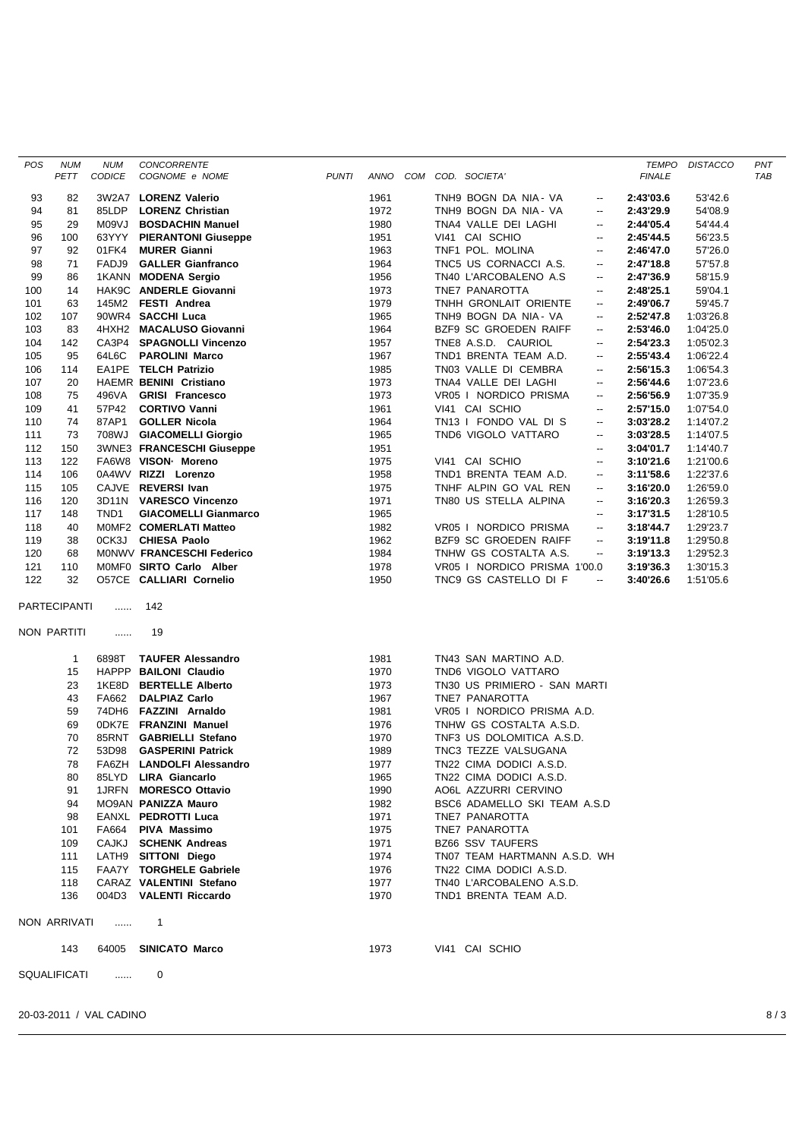| <b>POS</b> | <b>NUM</b><br>PETT | <b>NUM</b><br>CODICE    | CONCORRENTE<br>COGNOME e NOME                | <b>PUNTI</b> |              |  | ANNO COM COD. SOCIETA'                         |                          | <b>FINALE</b>          | TEMPO DISTACCO         | PNT<br>TAB |
|------------|--------------------|-------------------------|----------------------------------------------|--------------|--------------|--|------------------------------------------------|--------------------------|------------------------|------------------------|------------|
|            |                    |                         |                                              |              |              |  |                                                |                          |                        |                        |            |
| 93         | 82                 |                         | 3W2A7 LORENZ Valerio                         |              | 1961         |  | TNH9 BOGN DA NIA - VA                          | $-  \,$                  | 2:43'03.6              | 53'42.6                |            |
| 94         | 81                 |                         | 85LDP LORENZ Christian                       |              | 1972         |  | TNH9 BOGN DA NIA - VA                          | $\sim$                   | 2:43'29.9              | 54'08.9                |            |
| 95         | 29                 |                         | M09VJ BOSDACHIN Manuel                       |              | 1980         |  | TNA4 VALLE DEI LAGHI                           | --                       | 2:44'05.4              | 54'44.4                |            |
| 96         | 100                |                         | 63YYY PIERANTONI Giuseppe                    |              | 1951         |  | VI41 CAI SCHIO                                 | --                       | 2:45'44.5              | 56'23.5                |            |
| 97         | 92                 | 01FK4                   | <b>MURER Gianni</b>                          |              | 1963         |  | TNF1 POL. MOLINA                               | --                       | 2:46'47.0              | 57'26.0                |            |
| 98         | 71                 |                         | FADJ9 GALLER Gianfranco                      |              | 1964         |  | TNC5 US CORNACCI A.S.                          | --                       | 2:47'18.8              | 57'57.8                |            |
| 99         | 86                 |                         | 1KANN MODENA Sergio                          |              | 1956         |  | TN40 L'ARCOBALENO A.S                          | --                       | 2:47'36.9              | 58'15.9                |            |
| 100        | 14                 |                         | HAK9C ANDERLE Giovanni<br>145M2 FESTI Andrea |              | 1973         |  | TNE7 PANAROTTA                                 | --                       | 2:48'25.1<br>2:49'06.7 | 59'04.1                |            |
| 101        | 63                 |                         | 90WR4 SACCHI Luca                            |              | 1979         |  | TNHH GRONLAIT ORIENTE                          | --                       |                        | 59'45.7                |            |
| 102<br>103 | 107<br>83          |                         | 4HXH2 MACALUSO Giovanni                      |              | 1965<br>1964 |  | TNH9 BOGN DA NIA - VA<br>BZF9 SC GROEDEN RAIFF | --<br>--                 | 2:52'47.8<br>2:53'46.0 | 1:03'26.8<br>1:04'25.0 |            |
| 104        | 142                |                         | CA3P4 SPAGNOLLI Vincenzo                     |              | 1957         |  | TNE8 A.S.D. CAURIOL                            | --                       | 2:54'23.3              | 1:05'02.3              |            |
| 105        | 95                 |                         | 64L6C PAROLINI Marco                         |              | 1967         |  | TND1 BRENTA TEAM A.D.                          | --                       | 2:55'43.4              | 1:06'22.4              |            |
| 106        | 114                |                         | EA1PE TELCH Patrizio                         |              | 1985         |  | TN03 VALLE DI CEMBRA                           | $\overline{\phantom{a}}$ | 2:56'15.3              | 1:06'54.3              |            |
| 107        | 20                 |                         | HAEMR BENINI Cristiano                       |              | 1973         |  | TNA4 VALLE DEI LAGHI                           | --                       | 2:56'44.6              | 1:07'23.6              |            |
| 108        | 75                 |                         | 496VA GRISI Francesco                        |              | 1973         |  | VR05   NORDICO PRISMA                          | --                       | 2:56'56.9              | 1:07'35.9              |            |
| 109        | 41                 |                         | 57P42 CORTIVO Vanni                          |              | 1961         |  | VI41 CAI SCHIO                                 | --                       | 2:57'15.0              | 1:07'54.0              |            |
| 110        | 74                 |                         | 87AP1 GOLLER Nicola                          |              | 1964         |  | TN13 I FONDO VAL DI S                          | --                       | 3:03'28.2              | 1:14'07.2              |            |
| 111        | 73                 |                         | 708WJ GIACOMELLI Giorgio                     |              | 1965         |  | TND6 VIGOLO VATTARO                            | --                       | 3:03'28.5              | 1:14'07.5              |            |
| 112        | 150                |                         | <b>3WNE3 FRANCESCHI Giuseppe</b>             |              | 1951         |  |                                                | --                       | 3:04'01.7              | 1:14'40.7              |            |
| 113        | 122                |                         | FA6W8 VISON Moreno                           |              | 1975         |  | VI41 CAI SCHIO                                 | --                       | 3:10'21.6              | 1:21'00.6              |            |
| 114        | 106                |                         | 0A4WV RIZZI Lorenzo                          |              | 1958         |  | TND1 BRENTA TEAM A.D.                          | $\overline{\phantom{a}}$ | 3:11'58.6              | 1:22'37.6              |            |
| 115        | 105                |                         | CAJVE REVERSI Ivan                           |              | 1975         |  | TNHF ALPIN GO VAL REN                          | --                       | 3:16'20.0              | 1:26'59.0              |            |
| 116        | 120                |                         | 3D11N VARESCO Vincenzo                       |              | 1971         |  | TN80 US STELLA ALPINA                          | --                       | 3:16'20.3              | 1:26'59.3              |            |
| 117        | 148                | TND <sub>1</sub>        | <b>GIACOMELLI Gianmarco</b>                  |              | 1965         |  |                                                | --                       | 3:17'31.5              | 1:28'10.5              |            |
| 118        | 40                 |                         | MOMF2 COMERLATI Matteo                       |              | 1982         |  | VR05   NORDICO PRISMA                          | --                       | 3:18'44.7              | 1:29'23.7              |            |
| 119        | 38                 |                         | OCK3J CHIESA Paolo                           |              | 1962         |  | BZF9 SC GROEDEN RAIFF                          | --                       | 3:19'11.8              | 1:29'50.8              |            |
| 120        | 68                 |                         | MONWV FRANCESCHI Federico                    |              | 1984         |  | TNHW GS COSTALTA A.S.                          | $\overline{\phantom{a}}$ | 3:19'13.3              | 1:29'52.3              |            |
| 121        | 110                |                         | MOMFO SIRTO Carlo Alber                      |              | 1978         |  | VR05   NORDICO PRISMA 1'00.0                   |                          | 3:19'36.3              | 1:30'15.3              |            |
| 122        | 32                 |                         | O57CE CALLIARI Cornelio                      |              | 1950         |  | TNC9 GS CASTELLO DI F                          | $\overline{\phantom{a}}$ | 3:40'26.6              | 1:51'05.6              |            |
|            | PARTECIPANTI       | <b></b>                 | 142                                          |              |              |  |                                                |                          |                        |                        |            |
|            |                    |                         |                                              |              |              |  |                                                |                          |                        |                        |            |
|            | NON PARTITI        | .                       | 19                                           |              |              |  |                                                |                          |                        |                        |            |
|            |                    |                         | 6898T TAUFER Alessandro                      |              | 1981         |  | TN43 SAN MARTINO A.D.                          |                          |                        |                        |            |
|            | $\mathbf{1}$<br>15 |                         | HAPPP BAILONI Claudio                        |              | 1970         |  | TND6 VIGOLO VATTARO                            |                          |                        |                        |            |
|            | 23                 |                         | 1KE8D BERTELLE Alberto                       |              | 1973         |  | TN30 US PRIMIERO - SAN MARTI                   |                          |                        |                        |            |
|            | 43                 |                         | FA662 DALPIAZ Carlo                          |              | 1967         |  | TNE7 PANAROTTA                                 |                          |                        |                        |            |
|            | 59                 |                         | 74DH6 FAZZINI Arnaldo                        |              | 1981         |  | VR05   NORDICO PRISMA A.D.                     |                          |                        |                        |            |
|            | 69                 |                         | <b>ODK7E</b> FRANZINI Manuel                 |              | 1976         |  | TNHW GS COSTALTA A.S.D.                        |                          |                        |                        |            |
|            | 70                 |                         | 85RNT GABRIELLI Stefano                      |              | 1970         |  | TNF3 US DOLOMITICA A.S.D.                      |                          |                        |                        |            |
|            | 72                 | 53D98                   | <b>GASPERINI Patrick</b>                     |              | 1989         |  | TNC3 TEZZE VALSUGANA                           |                          |                        |                        |            |
|            | 78                 |                         | FA6ZH LANDOLFI Alessandro                    |              | 1977         |  | TN22 CIMA DODICI A.S.D.                        |                          |                        |                        |            |
|            | 80                 |                         | 85LYD LIRA Giancarlo                         |              | 1965         |  | TN22 CIMA DODICI A.S.D.                        |                          |                        |                        |            |
|            | 91                 |                         | 1JRFN MORESCO Ottavio                        |              | 1990         |  | AO6L AZZURRI CERVINO                           |                          |                        |                        |            |
|            | 94                 |                         | MO9AN PANIZZA Mauro                          |              | 1982         |  | BSC6 ADAMELLO SKI TEAM A.S.D                   |                          |                        |                        |            |
|            | 98                 |                         | EANXL PEDROTTI Luca                          |              | 1971         |  | TNE7 PANAROTTA                                 |                          |                        |                        |            |
|            | 101                |                         | FA664 PIVA Massimo                           |              | 1975         |  | TNE7 PANAROTTA                                 |                          |                        |                        |            |
|            | 109                |                         | CAJKJ SCHENK Andreas                         |              | 1971         |  | <b>BZ66 SSV TAUFERS</b>                        |                          |                        |                        |            |
|            | 111                |                         | LATH9 SITTONI Diego                          |              | 1974         |  | TN07 TEAM HARTMANN A.S.D. WH                   |                          |                        |                        |            |
|            | 115                |                         | FAA7Y TORGHELE Gabriele                      |              | 1976         |  | TN22 CIMA DODICI A.S.D.                        |                          |                        |                        |            |
|            | 118                |                         | CARAZ VALENTINI Stefano                      |              | 1977         |  | TN40 L'ARCOBALENO A.S.D.                       |                          |                        |                        |            |
|            | 136                |                         | 004D3 VALENTI Riccardo                       |              | 1970         |  | TND1 BRENTA TEAM A.D.                          |                          |                        |                        |            |
|            | NON ARRIVATI       | $\sim$ $\sim$           | $\overline{\phantom{1}}$ 1                   |              |              |  |                                                |                          |                        |                        |            |
|            | 143                |                         | 64005 SINICATO Marco                         |              | 1973         |  | VI41 CAI SCHIO                                 |                          |                        |                        |            |
|            |                    |                         |                                              |              |              |  |                                                |                          |                        |                        |            |
|            | SQUALIFICATI       | $\sim$ $\sim$ $\sim$    | 0                                            |              |              |  |                                                |                          |                        |                        |            |
|            |                    |                         |                                              |              |              |  |                                                |                          |                        |                        |            |
|            |                    | 20-03-2011 / VAL CADINO |                                              |              |              |  |                                                |                          |                        |                        | 8/3        |
|            |                    |                         |                                              |              |              |  |                                                |                          |                        |                        |            |